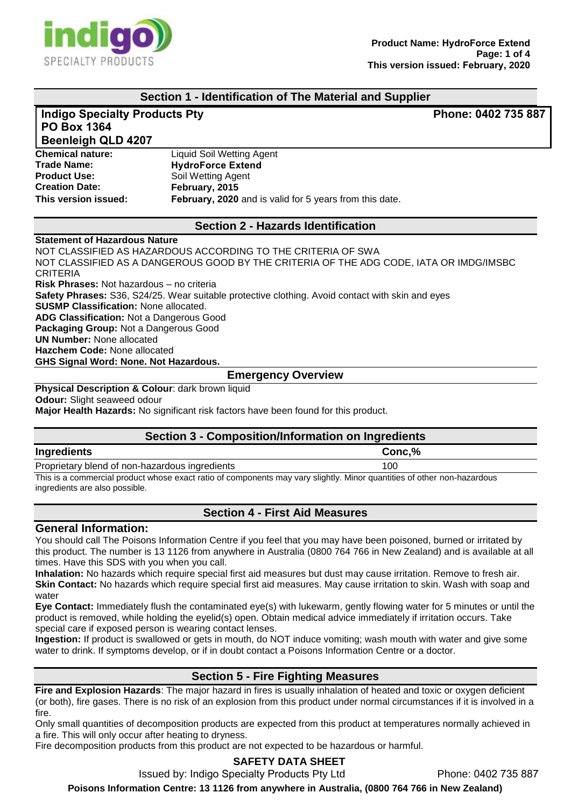

### **Section 1 - Identification of The Material and Supplier**

### **Indigo Specialty Products Pty Phone: 0402 735 887 PO Box 1364**

# **Beenleigh QLD 4207**

**Chemical nature: Trade Name: Product Use: Creation Date: This version issued:** Liquid Soil Wetting Agent **HydroForce Extend** Soil Wetting Agent **February, 2015 February, 2020** and is valid for 5 years from this date.

### **Section 2 - Hazards Identification**

#### **Statement of Hazardous Nature**

NOT CLASSIFIED AS HAZARDOUS ACCORDING TO THE CRITERIA OF SWA NOT CLASSIFIED AS A DANGEROUS GOOD BY THE CRITERIA OF THE ADG CODE, IATA OR IMDG/IMSBC CRITERIA **Risk Phrases:** Not hazardous – no criteria **Safety Phrases:** S36, S24/25. Wear suitable protective clothing. Avoid contact with skin and eyes **SUSMP Classification:** None allocated. **ADG Classification:** Not a Dangerous Good **Packaging Group:** Not a Dangerous Good **UN Number:** None allocated **Hazchem Code:** None allocated **GHS Signal Word: None. Not Hazardous. Emergency Overview**

**Physical Description & Colour: dark brown liquid Odour:** Slight seaweed odour

**Major Health Hazards:** No significant risk factors have been found for this product.

### **Section 3 - Composition/Information on Ingredients**

| Ingredients                                       | $\mathbf{a}$<br><b>CONC</b><br>70<br>יטוי |
|---------------------------------------------------|-------------------------------------------|
| Proprietary<br>blend of non-hazardous ingredients | '00                                       |
|                                                   |                                           |

This is a commercial product whose exact ratio of components may vary slightly. Minor quantities of other non-hazardous ingredients are also possible.

### **Section 4 - First Aid Measures**

### **General Information:**

You should call The Poisons Information Centre if you feel that you may have been poisoned, burned or irritated by this product. The number is 13 1126 from anywhere in Australia (0800 764 766 in New Zealand) and is available at all times. Have this SDS with you when you call.

**Inhalation:** No hazards which require special first aid measures but dust may cause irritation. Remove to fresh air. **Skin Contact:** No hazards which require special first aid measures. May cause irritation to skin. Wash with soap and water

**Eye Contact:** Immediately flush the contaminated eye(s) with lukewarm, gently flowing water for 5 minutes or until the product is removed, while holding the eyelid(s) open. Obtain medical advice immediately if irritation occurs. Take special care if exposed person is wearing contact lenses.

**Ingestion:** If product is swallowed or gets in mouth, do NOT induce vomiting; wash mouth with water and give some water to drink. If symptoms develop, or if in doubt contact a Poisons Information Centre or a doctor.

### **Section 5 - Fire Fighting Measures**

**Fire and Explosion Hazards**: The major hazard in fires is usually inhalation of heated and toxic or oxygen deficient (or both), fire gases. There is no risk of an explosion from this product under normal circumstances if it is involved in a fire.

Only small quantities of decomposition products are expected from this product at temperatures normally achieved in a fire. This will only occur after heating to dryness.

Fire decomposition products from this product are not expected to be hazardous or harmful.

### **SAFETY DATA SHEET**

Issued by: Indigo Specialty Products Pty Ltd Phone: 0402 735 887

**Poisons Information Centre: 13 1126 from anywhere in Australia, (0800 764 766 in New Zealand)**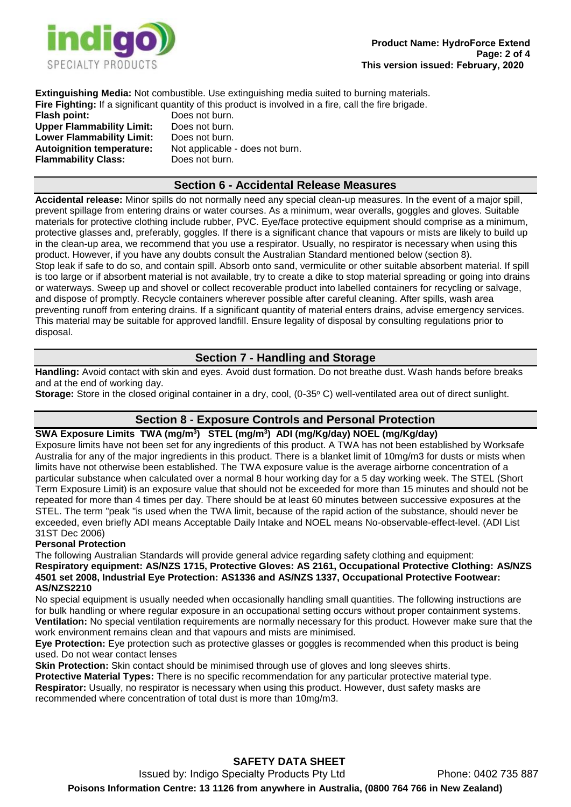

**Extinguishing Media:** Not combustible. Use extinguishing media suited to burning materials. **Fire Fighting:** If a significant quantity of this product is involved in a fire, call the fire brigade.

**Flash point:** Does not burn. **Upper Flammability Limit:** Does not burn. **Lower Flammability Limit:** Does not burn. **Flammability Class:** Does not burn.

**Autoignition temperature:** Not applicable - does not burn.

### **Section 6 - Accidental Release Measures**

**Accidental release:** Minor spills do not normally need any special clean-up measures. In the event of a major spill, prevent spillage from entering drains or water courses. As a minimum, wear overalls, goggles and gloves. Suitable materials for protective clothing include rubber, PVC. Eye/face protective equipment should comprise as a minimum, protective glasses and, preferably, goggles. If there is a significant chance that vapours or mists are likely to build up in the clean-up area, we recommend that you use a respirator. Usually, no respirator is necessary when using this product. However, if you have any doubts consult the Australian Standard mentioned below (section 8). Stop leak if safe to do so, and contain spill. Absorb onto sand, vermiculite or other suitable absorbent material. If spill is too large or if absorbent material is not available, try to create a dike to stop material spreading or going into drains or waterways. Sweep up and shovel or collect recoverable product into labelled containers for recycling or salvage, and dispose of promptly. Recycle containers wherever possible after careful cleaning. After spills, wash area preventing runoff from entering drains. If a significant quantity of material enters drains, advise emergency services. This material may be suitable for approved landfill. Ensure legality of disposal by consulting regulations prior to disposal.

### **Section 7 - Handling and Storage**

**Handling:** Avoid contact with skin and eyes. Avoid dust formation. Do not breathe dust. Wash hands before breaks and at the end of working day.

**Storage:** Store in the closed original container in a dry, cool, (0-35° C) well-ventilated area out of direct sunlight.

## **Section 8 - Exposure Controls and Personal Protection**

**SWA Exposure Limits TWA (mg/m<sup>3</sup> ) STEL (mg/m<sup>3</sup> ) ADI (mg/Kg/day) NOEL (mg/Kg/day)** Exposure limits have not been set for any ingredients of this product. A TWA has not been established by Worksafe Australia for any of the major ingredients in this product. There is a blanket limit of 10mg/m3 for dusts or mists when limits have not otherwise been established. The TWA exposure value is the average airborne concentration of a particular substance when calculated over a normal 8 hour working day for a 5 day working week. The STEL (Short Term Exposure Limit) is an exposure value that should not be exceeded for more than 15 minutes and should not be repeated for more than 4 times per day. There should be at least 60 minutes between successive exposures at the STEL. The term "peak "is used when the TWA limit, because of the rapid action of the substance, should never be exceeded, even briefly ADI means Acceptable Daily Intake and NOEL means No-observable-effect-level. (ADI List 31ST Dec 2006)

### **Personal Protection**

The following Australian Standards will provide general advice regarding safety clothing and equipment: **Respiratory equipment: AS/NZS 1715, Protective Gloves: AS 2161, Occupational Protective Clothing: AS/NZS 4501 set 2008, Industrial Eye Protection: AS1336 and AS/NZS 1337, Occupational Protective Footwear: AS/NZS2210**

No special equipment is usually needed when occasionally handling small quantities. The following instructions are for bulk handling or where regular exposure in an occupational setting occurs without proper containment systems. **Ventilation:** No special ventilation requirements are normally necessary for this product. However make sure that the work environment remains clean and that vapours and mists are minimised.

**Eye Protection:** Eye protection such as protective glasses or goggles is recommended when this product is being used. Do not wear contact lenses

**Skin Protection:** Skin contact should be minimised through use of gloves and long sleeves shirts.

**Protective Material Types:** There is no specific recommendation for any particular protective material type. **Respirator:** Usually, no respirator is necessary when using this product. However, dust safety masks are recommended where concentration of total dust is more than 10mg/m3.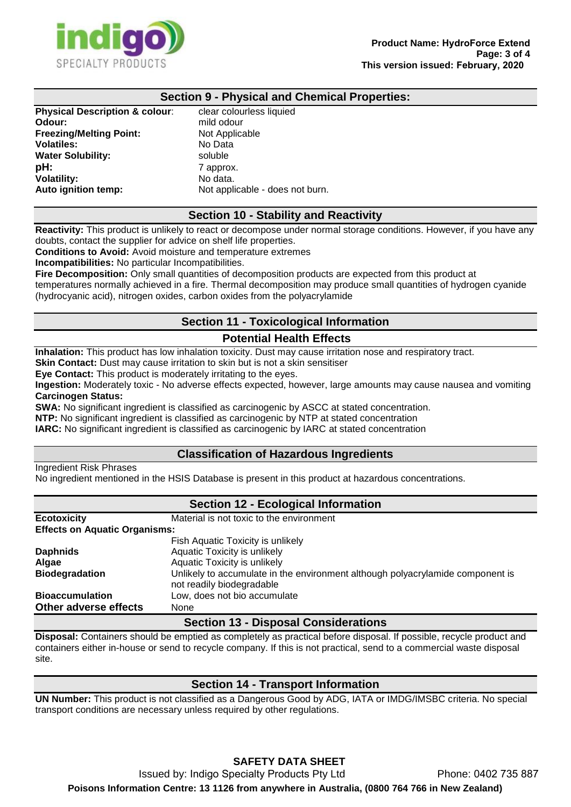

### **Section 9 - Physical and Chemical Properties:**

clear colourless liquied **Odour:** mild odour **Not Applicable Volatiles:** No Data soluble **7 approx.** No data. Not applicable - does not burn.

#### **Section 10 - Stability and Reactivity**

**Reactivity:** This product is unlikely to react or decompose under normal storage conditions. However, if you have any doubts, contact the supplier for advice on shelf life properties.

**Conditions to Avoid:** Avoid moisture and temperature extremes

**Incompatibilities:** No particular Incompatibilities.

**Fire Decomposition:** Only small quantities of decomposition products are expected from this product at temperatures normally achieved in a fire. Thermal decomposition may produce small quantities of hydrogen cyanide (hydrocyanic acid), nitrogen oxides, carbon oxides from the polyacrylamide

### **Section 11 - Toxicological Information**

### **Potential Health Effects**

**Inhalation:** This product has low inhalation toxicity. Dust may cause irritation nose and respiratory tract.

**Skin Contact:** Dust may cause irritation to skin but is not a skin sensitiser

**Eye Contact:** This product is moderately irritating to the eyes.

**Ingestion:** Moderately toxic - No adverse effects expected, however, large amounts may cause nausea and vomiting **Carcinogen Status:**

**SWA:** No significant ingredient is classified as carcinogenic by ASCC at stated concentration.

**NTP:** No significant ingredient is classified as carcinogenic by NTP at stated concentration

**IARC:** No significant ingredient is classified as carcinogenic by IARC at stated concentration

### **Classification of Hazardous Ingredients**

Ingredient Risk Phrases

No ingredient mentioned in the HSIS Database is present in this product at hazardous concentrations.

### **Section 12 - Ecological Information Ecotoxicity** Material is not toxic to the environment **Effects on Aquatic Organisms:** Fish Aquatic Toxicity is unlikely **Daphnids**<br> **Aquatic Toxicity is unlikely**<br> **Aquatic Toxicity is unlikely Algae** Aquatic Toxicity is unlikely **Biodegradation** Unlikely to accumulate in the environment although polyacrylamide component is not readily biodegradable **Bioaccumulation** Low, does not bio accumulate **Other adverse effects** None

### **Section 13 - Disposal Considerations**

**Disposal:** Containers should be emptied as completely as practical before disposal. If possible, recycle product and containers either in-house or send to recycle company. If this is not practical, send to a commercial waste disposal site.

### **Section 14 - Transport Information**

**UN Number:** This product is not classified as a Dangerous Good by ADG, IATA or IMDG/IMSBC criteria. No special transport conditions are necessary unless required by other regulations.